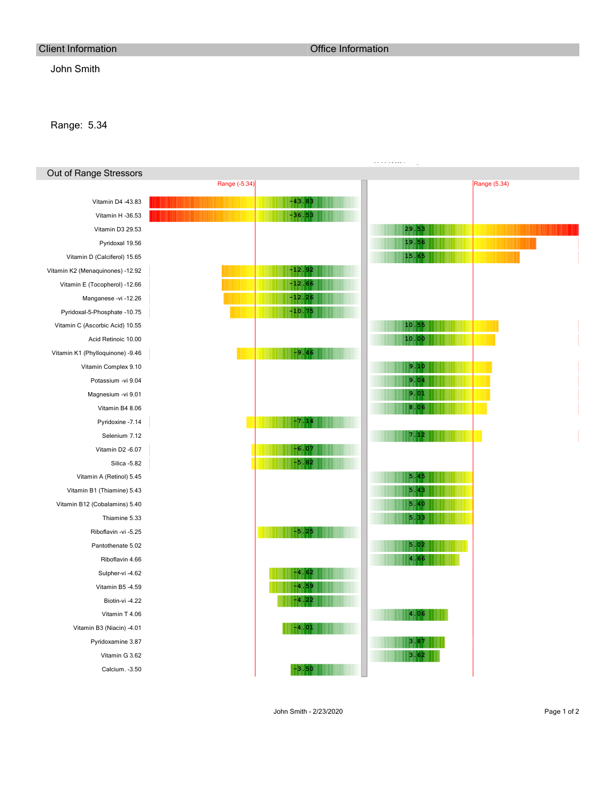## Client Information Client Information Client Information

## John Smith

## Range: 5.34

| Out of Range Stressors           |               |          |       |              |
|----------------------------------|---------------|----------|-------|--------------|
|                                  | Range (-5.34) |          |       | Range (5.34) |
| Vitamin D4 -43.83                |               | $-43.83$ |       |              |
| Vitamin H-36.53                  |               | $-36.53$ |       |              |
| Vitamin D3 29.53                 |               |          | 29.53 |              |
| Pyridoxal 19.56                  |               |          | 19.56 |              |
| Vitamin D (Calciferol) 15.65     |               |          | 15.65 |              |
| Vitamin K2 (Menaquinones) -12.92 |               | $-12.92$ |       |              |
| Vitamin E (Tocopherol) -12.66    |               | $-12.66$ |       |              |
| Manganese -vi -12.26             |               | $-12.26$ |       |              |
| Pyridoxal-5-Phosphate -10.75     |               | $-10.75$ |       |              |
| Vitamin C (Ascorbic Acid) 10.55  |               |          | 10.55 |              |
| Acid Retinoic 10.00              |               |          | 10.00 |              |
| Vitamin K1 (Phylloquinone) -9.46 |               | $-9.46$  |       |              |
| Vitamin Complex 9.10             |               |          | 9.10  |              |
| Potassium -vi 9.04               |               |          | 9.04  |              |
| Magnesium -vi 9.01               |               |          | 9.01  |              |
| Vitamin B4 8.06                  |               |          | 8.06  |              |
| Pyridoxine -7.14                 |               | $-7.14$  |       |              |
| Selenium 7.12                    |               |          | 7.12  |              |
| Vitamin D2 -6.07                 |               | $-6.07$  |       |              |
| Silica -5.82                     |               | $-5.82$  |       |              |
| Vitamin A (Retinol) 5.45         |               |          | 5.45  |              |
| Vitamin B1 (Thiamine) 5.43       |               |          | 5.43  |              |
| Vitamin B12 (Cobalamins) 5.40    |               |          | 5.40  |              |
| Thiamine 5.33                    |               |          | 5.33  |              |
| Riboflavin -vi -5.25             |               | $-5.25$  |       |              |
| Pantothenate 5.02                |               |          | 5.02  |              |
| Riboflavin 4.66                  |               |          | 4.66  |              |
| Sulpher-vi -4.62                 |               | $-4.62$  |       |              |
| Vitamin B5 -4.59                 |               | $-4.59$  |       |              |
| Biotin-vi -4.22                  |               | $-4.22$  |       |              |
| Vitamin T 4.06                   |               |          | 4.06  |              |
| Vitamin B3 (Niacin) -4.01        |               | $-4.01$  |       |              |
| Pyridoxamine 3.87                |               |          | 3.87  |              |
| Vitamin G 3.62                   |               |          | 3.62  |              |
| Calcium. - 3.50                  |               | $-3.50$  |       |              |
|                                  |               |          |       |              |

www.livingwellmb.com

John Smith - 2/23/2020 Page 1 of 2